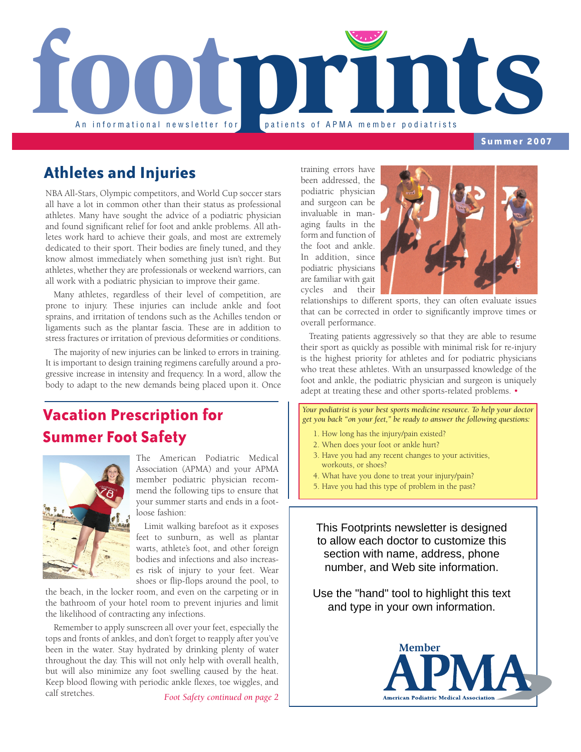

**Summer 2007**

### **Athletes and Injuries**

NBA All-Stars, Olympic competitors, and World Cup soccer stars all have a lot in common other than their status as professional athletes. Many have sought the advice of a podiatric physician and found significant relief for foot and ankle problems. All athletes work hard to achieve their goals, and most are extremely dedicated to their sport. Their bodies are finely tuned, and they know almost immediately when something just isn't right. But athletes, whether they are professionals or weekend warriors, can all work with a podiatric physician to improve their game.

Many athletes, regardless of their level of competition, are prone to injury. These injuries can include ankle and foot sprains, and irritation of tendons such as the Achilles tendon or ligaments such as the plantar fascia. These are in addition to stress fractures or irritation of previous deformities or conditions.

The majority of new injuries can be linked to errors in training. It is important to design training regimens carefully around a progressive increase in intensity and frequency. In a word, allow the body to adapt to the new demands being placed upon it. Once

## **Vacation Prescription for Summer Foot Safety**



The American Podiatric Medical Association (APMA) and your APMA member podiatric physician recommend the following tips to ensure that your summer starts and ends in a footloose fashion:

Limit walking barefoot as it exposes feet to sunburn, as well as plantar warts, athlete's foot, and other foreign bodies and infections and also increases risk of injury to your feet. Wear shoes or flip-flops around the pool, to

the beach, in the locker room, and even on the carpeting or in the bathroom of your hotel room to prevent injuries and limit the likelihood of contracting any infections.

Remember to apply sunscreen all over your feet, especially the tops and fronts of ankles, and don't forget to reapply after you've been in the water. Stay hydrated by drinking plenty of water throughout the day. This will not only help with overall health, but will also minimize any foot swelling caused by the heat. Keep blood flowing with periodic ankle flexes, toe wiggles, and calf stretches.

*Foot Safety continued on page 2*

training errors have been addressed, the podiatric physician and surgeon can be invaluable in managing faults in the form and function of the foot and ankle. In addition, since podiatric physicians are familiar with gait cycles and their



relationships to different sports, they can often evaluate issues that can be corrected in order to significantly improve times or overall performance.

Treating patients aggressively so that they are able to resume their sport as quickly as possible with minimal risk for re-injury is the highest priority for athletes and for podiatric physicians who treat these athletes. With an unsurpassed knowledge of the foot and ankle, the podiatric physician and surgeon is uniquely adept at treating these and other sports-related problems. •

*Your podiatrist is your best sports medicine resource. To help your doctor get you back "on your feet," be ready to answer the following questions:*

- 1. How long has the injury/pain existed?
- 2. When does your foot or ankle hurt?
- 3. Have you had any recent changes to your activities, workouts, or shoes?
- 4. What have you done to treat your injury/pain?
- 5. Have you had this type of problem in the past?

This Footprints newsletter is designed to allow each doctor to customize this section with name, address, phone number, and Web site information.

Use the "hand" tool to highlight this text and type in your own information.